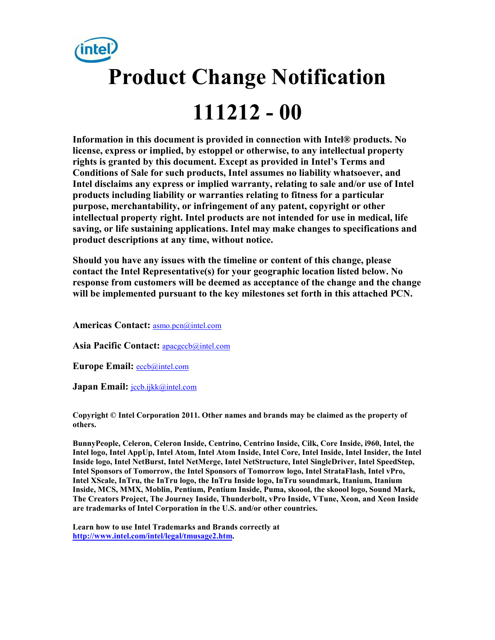

# **Product Change Notification 111212 - 00**

**Information in this document is provided in connection with Intel® products. No license, express or implied, by estoppel or otherwise, to any intellectual property rights is granted by this document. Except as provided in Intel's Terms and Conditions of Sale for such products, Intel assumes no liability whatsoever, and Intel disclaims any express or implied warranty, relating to sale and/or use of Intel products including liability or warranties relating to fitness for a particular purpose, merchantability, or infringement of any patent, copyright or other intellectual property right. Intel products are not intended for use in medical, life saving, or life sustaining applications. Intel may make changes to specifications and product descriptions at any time, without notice.** 

**Should you have any issues with the timeline or content of this change, please contact the Intel Representative(s) for your geographic location listed below. No response from customers will be deemed as acceptance of the change and the change will be implemented pursuant to the key milestones set forth in this attached PCN.** 

**Americas Contact:** asmo.pcn@intel.com

Asia Pacific Contact: **apacgccb@intel.com** 

**Europe Email:** eccb@intel.com

Japan Email: **jccb.ijkk@intel.com** 

**Copyright © Intel Corporation 2011. Other names and brands may be claimed as the property of others.**

**BunnyPeople, Celeron, Celeron Inside, Centrino, Centrino Inside, Cilk, Core Inside, i960, Intel, the Intel logo, Intel AppUp, Intel Atom, Intel Atom Inside, Intel Core, Intel Inside, Intel Insider, the Intel Inside logo, Intel NetBurst, Intel NetMerge, Intel NetStructure, Intel SingleDriver, Intel SpeedStep, Intel Sponsors of Tomorrow, the Intel Sponsors of Tomorrow logo, Intel StrataFlash, Intel vPro, Intel XScale, InTru, the InTru logo, the InTru Inside logo, InTru soundmark, Itanium, Itanium Inside, MCS, MMX, Moblin, Pentium, Pentium Inside, Puma, skoool, the skoool logo, Sound Mark, The Creators Project, The Journey Inside, Thunderbolt, vPro Inside, VTune, Xeon, and Xeon Inside are trademarks of Intel Corporation in the U.S. and/or other countries.** 

**Learn how to use Intel Trademarks and Brands correctly at http://www.intel.com/intel/legal/tmusage2.htm.**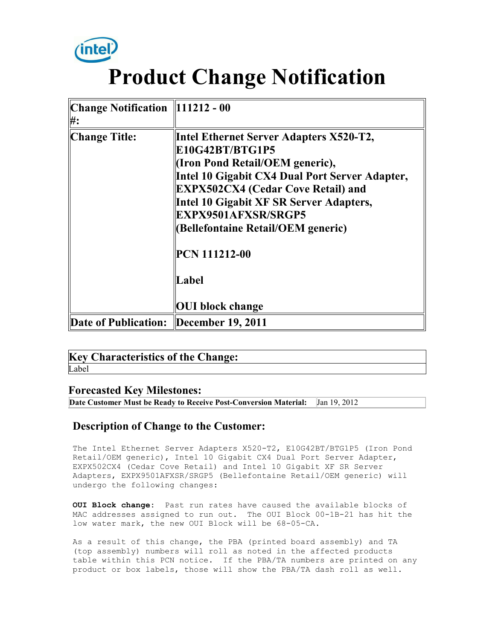

# **Product Change Notification**

| ⊯:                                     | Change Notification   111212 - 00                                                                                                                                                                                                                                                                                            |
|----------------------------------------|------------------------------------------------------------------------------------------------------------------------------------------------------------------------------------------------------------------------------------------------------------------------------------------------------------------------------|
| Change Title:                          | <b>Intel Ethernet Server Adapters X520-T2,</b><br>E10G42BT/BTG1P5<br>(Iron Pond Retail/OEM generic),<br>Intel 10 Gigabit CX4 Dual Port Server Adapter,<br><b>EXPX502CX4 (Cedar Cove Retail) and</b><br>Intel 10 Gigabit XF SR Server Adapters,<br>EXPX9501AFXSR/SRGP5<br>(Bellefontaine Retail/OEM generic)<br>PCN 111212-00 |
| Date of Publication: December 19, 2011 | Label<br><b>OUI</b> block change                                                                                                                                                                                                                                                                                             |

#### **Key Characteristics of the Change:** Label

#### **Forecasted Key Milestones:**

**Date Customer Must be Ready to Receive Post-Conversion Material:** Jan 19, 2012

#### **Description of Change to the Customer:**

The Intel Ethernet Server Adapters X520-T2, E10G42BT/BTG1P5 (Iron Pond Retail/OEM generic), Intel 10 Gigabit CX4 Dual Port Server Adapter, EXPX502CX4 (Cedar Cove Retail) and Intel 10 Gigabit XF SR Server Adapters, EXPX9501AFXSR/SRGP5 (Bellefontaine Retail/OEM generic) will undergo the following changes:

**OUI Block change:** Past run rates have caused the available blocks of MAC addresses assigned to run out. The OUI Block 00-1B-21 has hit the low water mark, the new OUI Block will be 68-05-CA.

As a result of this change, the PBA (printed board assembly) and TA (top assembly) numbers will roll as noted in the affected products table within this PCN notice. If the PBA/TA numbers are printed on any product or box labels, those will show the PBA/TA dash roll as well.